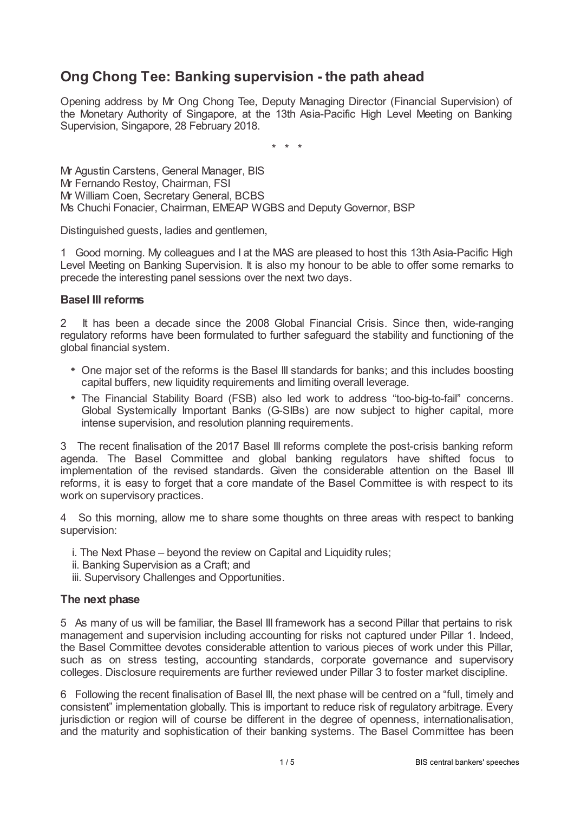# **Ong Chong Tee: Banking supervision - the path ahead**

Opening address by Mr Ong Chong Tee, Deputy Managing Director (Financial Supervision) of the Monetary Authority of Singapore, at the 13th Asia-Pacific High Level Meeting on Banking Supervision, Singapore, 28 February 2018.

\* \* \*

Mr Agustin Carstens, General Manager, BIS Mr Fernando Restoy, Chairman, FSI Mr William Coen, Secretary General, BCBS Ms Chuchi Fonacier, Chairman, EMEAP WGBS and Deputy Governor, BSP

Distinguished guests, ladies and gentlemen,

1 Good morning. My colleagues and I at the MAS are pleased to host this 13th Asia-Pacific High Level Meeting on Banking Supervision. It is also my honour to be able to offer some remarks to precede the interesting panel sessions over the next two days.

## **Basel III reforms**

2 It has been a decade since the 2008 Global Financial Crisis. Since then, wide-ranging regulatory reforms have been formulated to further safeguard the stability and functioning of the global financial system.

- One major set of the reforms is the Basel III standards for banks; and this includes boosting capital buffers, new liquidity requirements and limiting overall leverage.
- The Financial Stability Board (FSB) also led work to address "too-big-to-fail" concerns. Global Systemically Important Banks (G-SIBs) are now subject to higher capital, more intense supervision, and resolution planning requirements.

3 The recent finalisation of the 2017 Basel III reforms complete the post-crisis banking reform agenda. The Basel Committee and global banking regulators have shifted focus to implementation of the revised standards. Given the considerable attention on the Basel III reforms, it is easy to forget that a core mandate of the Basel Committee is with respect to its work on supervisory practices.

4 So this morning, allow me to share some thoughts on three areas with respect to banking supervision:

- i. The Next Phase beyond the review on Capital and Liquidity rules;
- ii. Banking Supervision as a Craft; and
- iii. Supervisory Challenges and Opportunities.

# **The next phase**

5 As many of us will be familiar, the Basel III framework has a second Pillar that pertains to risk management and supervision including accounting for risks not captured under Pillar 1. Indeed, the Basel Committee devotes considerable attention to various pieces of work under this Pillar, such as on stress testing, accounting standards, corporate governance and supervisory colleges. Disclosure requirements are further reviewed under Pillar 3 to foster market discipline.

6 Following the recent finalisation of Basel III, the next phase will be centred on a "full, timely and consistent" implementation globally. This is important to reduce risk of regulatory arbitrage. Every jurisdiction or region will of course be different in the degree of openness, internationalisation, and the maturity and sophistication of their banking systems. The Basel Committee has been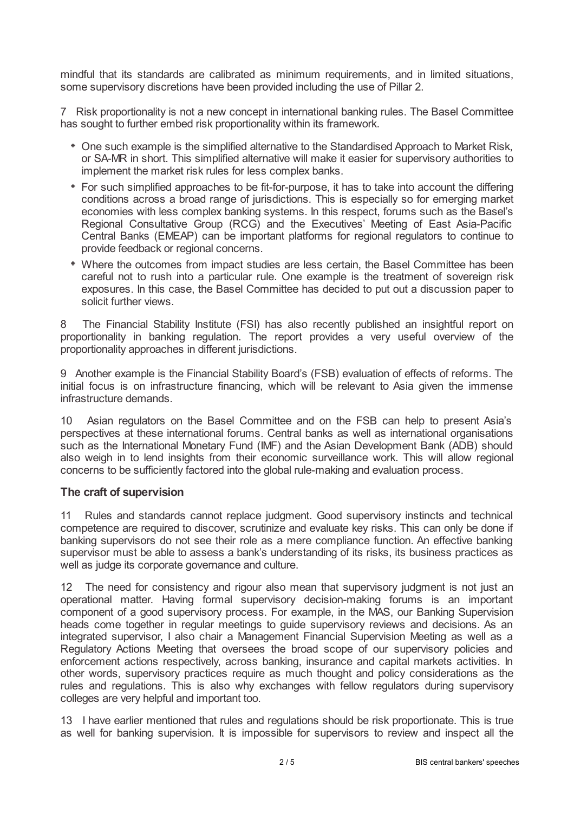mindful that its standards are calibrated as minimum requirements, and in limited situations, some supervisory discretions have been provided including the use of Pillar 2.

7 Risk proportionality is not a new concept in international banking rules. The Basel Committee has sought to further embed risk proportionality within its framework.

- One such example is the simplified alternative to the Standardised Approach to Market Risk, or SA-MR in short. This simplified alternative will make it easier for supervisory authorities to implement the market risk rules for less complex banks.
- For such simplified approaches to be fit-for-purpose, it has to take into account the differing conditions across a broad range of jurisdictions. This is especially so for emerging market economies with less complex banking systems. In this respect, forums such as the Basel's Regional Consultative Group (RCG) and the Executives' Meeting of East Asia-Pacific Central Banks (EMEAP) can be important platforms for regional regulators to continue to provide feedback or regional concerns.
- Where the outcomes from impact studies are less certain, the Basel Committee has been careful not to rush into a particular rule. One example is the treatment of sovereign risk exposures. In this case, the Basel Committee has decided to put out a discussion paper to solicit further views.

8 The Financial Stability Institute (FSI) has also recently published an insightful report on proportionality in banking regulation. The report provides a very useful overview of the proportionality approaches in different jurisdictions.

9 Another example is the Financial Stability Board's (FSB) evaluation of effects of reforms. The initial focus is on infrastructure financing, which will be relevant to Asia given the immense infrastructure demands.

10 Asian regulators on the Basel Committee and on the FSB can help to present Asia's perspectives at these international forums. Central banks as well as international organisations such as the International Monetary Fund (IMF) and the Asian Development Bank (ADB) should also weigh in to lend insights from their economic surveillance work. This will allow regional concerns to be sufficiently factored into the global rule-making and evaluation process.

## **The craft of supervision**

11 Rules and standards cannot replace judgment. Good supervisory instincts and technical competence are required to discover, scrutinize and evaluate key risks. This can only be done if banking supervisors do not see their role as a mere compliance function. An effective banking supervisor must be able to assess a bank's understanding of its risks, its business practices as well as judge its corporate governance and culture.

12 The need for consistency and rigour also mean that supervisory judgment is not just an operational matter. Having formal supervisory decision-making forums is an important component of a good supervisory process. For example, in the MAS, our Banking Supervision heads come together in regular meetings to guide supervisory reviews and decisions. As an integrated supervisor, I also chair a Management Financial Supervision Meeting as well as a Regulatory Actions Meeting that oversees the broad scope of our supervisory policies and enforcement actions respectively, across banking, insurance and capital markets activities. In other words, supervisory practices require as much thought and policy considerations as the rules and regulations. This is also why exchanges with fellow regulators during supervisory colleges are very helpful and important too.

13 I have earlier mentioned that rules and regulations should be risk proportionate. This is true as well for banking supervision. It is impossible for supervisors to review and inspect all the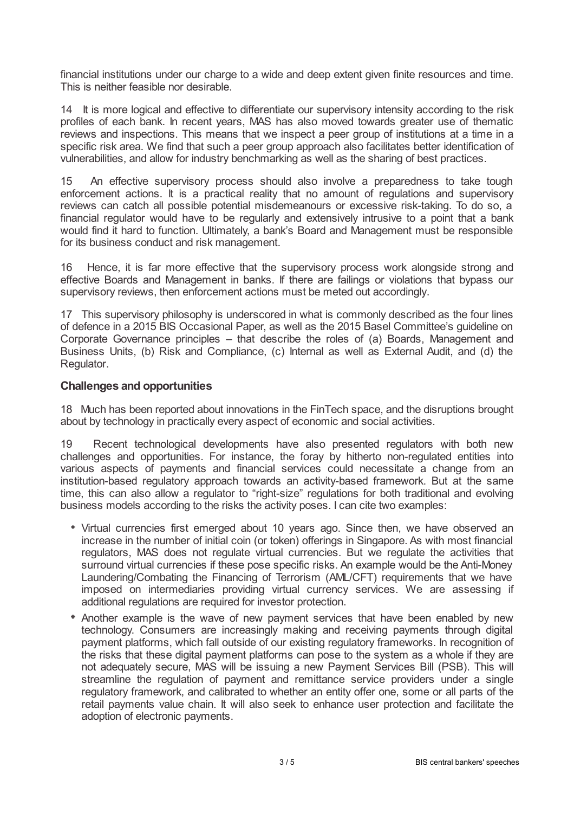financial institutions under our charge to a wide and deep extent given finite resources and time. This is neither feasible nor desirable.

14 It is more logical and effective to differentiate our supervisory intensity according to the risk profiles of each bank. In recent years, MAS has also moved towards greater use of thematic reviews and inspections. This means that we inspect a peer group of institutions at a time in a specific risk area. We find that such a peer group approach also facilitates better identification of vulnerabilities, and allow for industry benchmarking as well as the sharing of best practices.

15 An effective supervisory process should also involve a preparedness to take tough enforcement actions. It is a practical reality that no amount of regulations and supervisory reviews can catch all possible potential misdemeanours or excessive risk-taking. To do so, a financial regulator would have to be regularly and extensively intrusive to a point that a bank would find it hard to function. Ultimately, a bank's Board and Management must be responsible for its business conduct and risk management.

16 Hence, it is far more effective that the supervisory process work alongside strong and effective Boards and Management in banks. If there are failings or violations that bypass our supervisory reviews, then enforcement actions must be meted out accordingly.

17 This supervisory philosophy is underscored in what is commonly described as the four lines of defence in a 2015 BIS Occasional Paper, as well as the 2015 Basel Committee's guideline on Corporate Governance principles – that describe the roles of (a) Boards, Management and Business Units, (b) Risk and Compliance, (c) Internal as well as External Audit, and (d) the Regulator.

# **Challenges and opportunities**

18 Much has been reported about innovations in the FinTech space, and the disruptions brought about by technology in practically every aspect of economic and social activities.

19 Recent technological developments have also presented regulators with both new challenges and opportunities. For instance, the foray by hitherto non-regulated entities into various aspects of payments and financial services could necessitate a change from an institution-based regulatory approach towards an activity-based framework. But at the same time, this can also allow a regulator to "right-size" regulations for both traditional and evolving business models according to the risks the activity poses. I can cite two examples:

- Virtual currencies first emerged about 10 years ago. Since then, we have observed an increase in the number of initial coin (or token) offerings in Singapore. As with most financial regulators, MAS does not regulate virtual currencies. But we regulate the activities that surround virtual currencies if these pose specific risks. An example would be the Anti-Money Laundering/Combating the Financing of Terrorism (AML/CFT) requirements that we have imposed on intermediaries providing virtual currency services. We are assessing if additional regulations are required for investor protection.
- Another example is the wave of new payment services that have been enabled by new technology. Consumers are increasingly making and receiving payments through digital payment platforms, which fall outside of our existing regulatory frameworks. In recognition of the risks that these digital payment platforms can pose to the system as a whole if they are not adequately secure, MAS will be issuing a new Payment Services Bill (PSB). This will streamline the regulation of payment and remittance service providers under a single regulatory framework, and calibrated to whether an entity offer one, some or all parts of the retail payments value chain. It will also seek to enhance user protection and facilitate the adoption of electronic payments.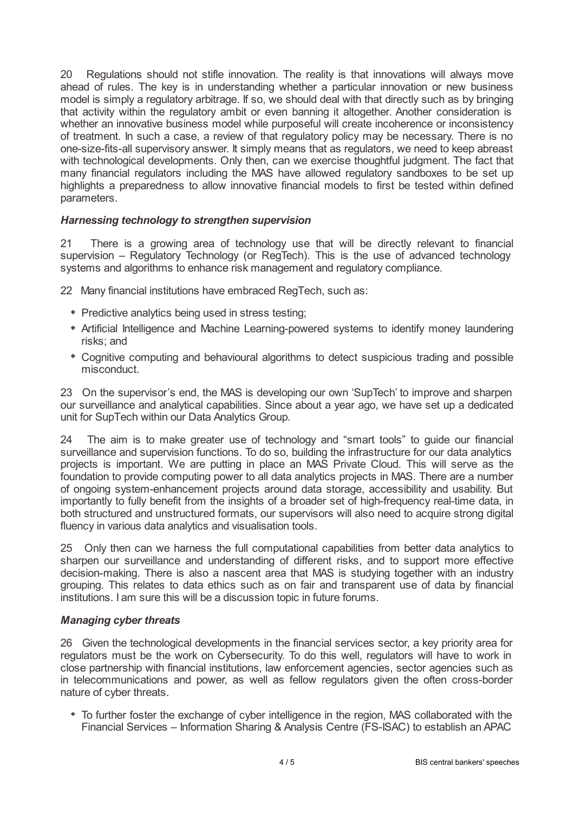20 Regulations should not stifle innovation. The reality is that innovations will always move ahead of rules. The key is in understanding whether a particular innovation or new business model is simply a regulatory arbitrage. If so, we should deal with that directly such as by bringing that activity within the regulatory ambit or even banning it altogether. Another consideration is whether an innovative business model while purposeful will create incoherence or inconsistency of treatment. In such a case, a review of that regulatory policy may be necessary. There is no one-size-fits-all supervisory answer. It simply means that as regulators, we need to keep abreast with technological developments. Only then, can we exercise thoughtful judgment. The fact that many financial regulators including the MAS have allowed regulatory sandboxes to be set up highlights a preparedness to allow innovative financial models to first be tested within defined parameters.

# *Harnessing technology to strengthen supervision*

21 There is a growing area of technology use that will be directly relevant to financial supervision – Regulatory Technology (or RegTech). This is the use of advanced technology systems and algorithms to enhance risk management and regulatory compliance.

22 Many financial institutions have embraced RegTech, such as:

- Predictive analytics being used in stress testing;
- Artificial Intelligence and Machine Learning-powered systems to identify money laundering risks; and
- Cognitive computing and behavioural algorithms to detect suspicious trading and possible misconduct.

23 On the supervisor's end, the MAS is developing our own 'SupTech' to improve and sharpen our surveillance and analytical capabilities. Since about a year ago, we have set up a dedicated unit for SupTech within our Data Analytics Group.

24 The aim is to make greater use of technology and "smart tools" to guide our financial surveillance and supervision functions. To do so, building the infrastructure for our data analytics projects is important. We are putting in place an MAS Private Cloud. This will serve as the foundation to provide computing power to all data analytics projects in MAS. There are a number of ongoing system-enhancement projects around data storage, accessibility and usability. But importantly to fully benefit from the insights of a broader set of high-frequency real-time data, in both structured and unstructured formats, our supervisors will also need to acquire strong digital fluency in various data analytics and visualisation tools.

25 Only then can we harness the full computational capabilities from better data analytics to sharpen our surveillance and understanding of different risks, and to support more effective decision-making. There is also a nascent area that MAS is studying together with an industry grouping. This relates to data ethics such as on fair and transparent use of data by financial institutions. I am sure this will be a discussion topic in future forums.

## *Managing cyber threats*

26 Given the technological developments in the financial services sector, a key priority area for regulators must be the work on Cybersecurity. To do this well, regulators will have to work in close partnership with financial institutions, law enforcement agencies, sector agencies such as in telecommunications and power, as well as fellow regulators given the often cross-border nature of cyber threats.

To further foster the exchange of cyber intelligence in the region, MAS collaborated with the Financial Services – Information Sharing & Analysis Centre (FS-ISAC) to establish an APAC